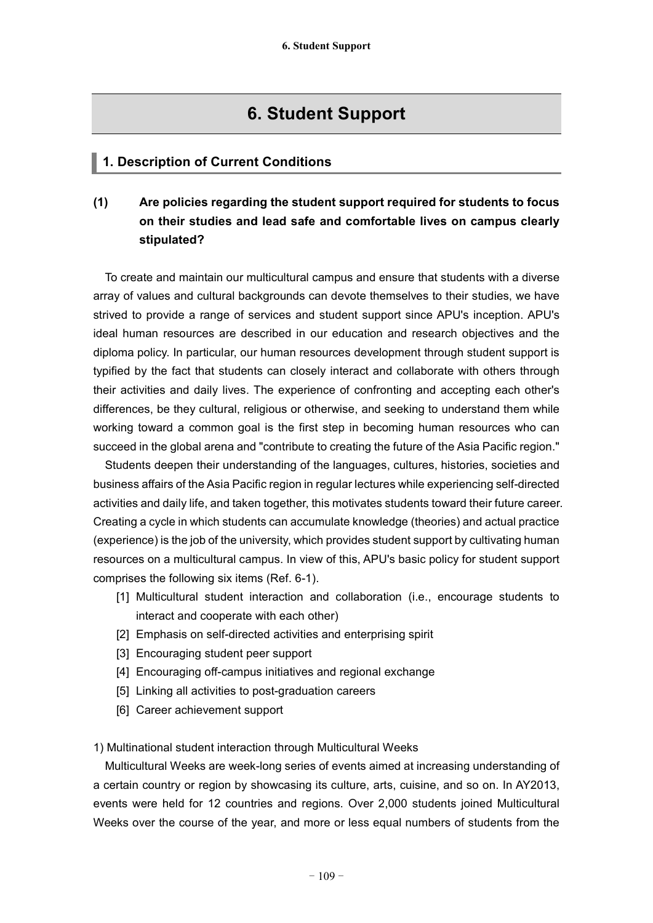# **6. Student Support**

## **1. Description of Current Conditions**

## **(1) Are policies regarding the student support required for students to focus on their studies and lead safe and comfortable lives on campus clearly stipulated?**

To create and maintain our multicultural campus and ensure that students with a diverse array of values and cultural backgrounds can devote themselves to their studies, we have strived to provide a range of services and student support since APU's inception. APU's ideal human resources are described in our education and research objectives and the diploma policy. In particular, our human resources development through student support is typified by the fact that students can closely interact and collaborate with others through their activities and daily lives. The experience of confronting and accepting each other's differences, be they cultural, religious or otherwise, and seeking to understand them while working toward a common goal is the first step in becoming human resources who can succeed in the global arena and "contribute to creating the future of the Asia Pacific region."

Students deepen their understanding of the languages, cultures, histories, societies and business affairs of the Asia Pacific region in regular lectures while experiencing self-directed activities and daily life, and taken together, this motivates students toward their future career. Creating a cycle in which students can accumulate knowledge (theories) and actual practice (experience) is the job of the university, which provides student support by cultivating human resources on a multicultural campus. In view of this, APU's basic policy for student support comprises the following six items (Ref. 6-1).

- [1] Multicultural student interaction and collaboration (i.e., encourage students to interact and cooperate with each other)
- [2] Emphasis on self-directed activities and enterprising spirit
- [3] Encouraging student peer support
- [4] Encouraging off-campus initiatives and regional exchange
- [5] Linking all activities to post-graduation careers
- [6] Career achievement support

1) Multinational student interaction through Multicultural Weeks

Multicultural Weeks are week-long series of events aimed at increasing understanding of a certain country or region by showcasing its culture, arts, cuisine, and so on. In AY2013, events were held for 12 countries and regions. Over 2,000 students joined Multicultural Weeks over the course of the year, and more or less equal numbers of students from the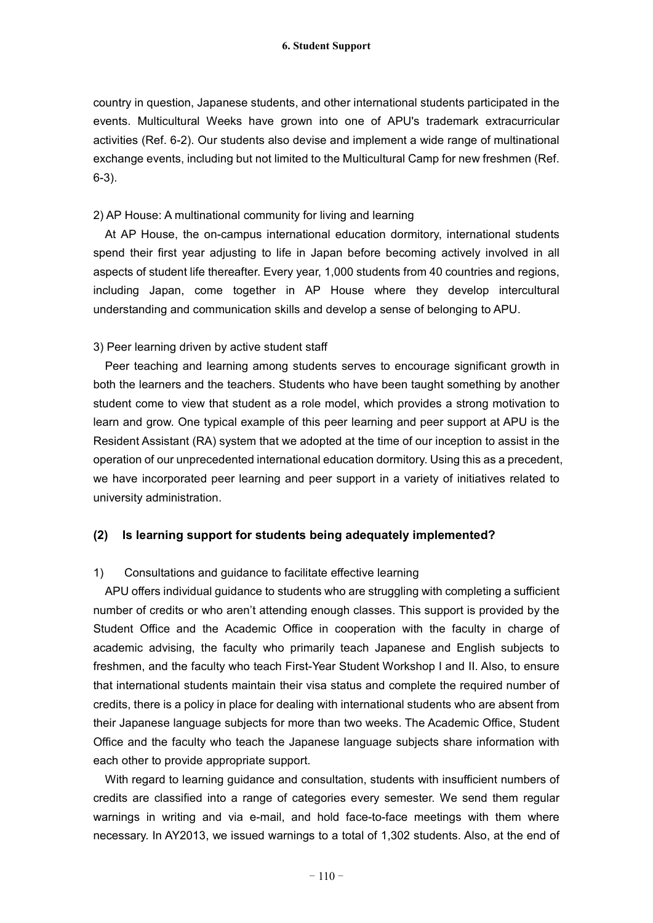country in question, Japanese students, and other international students participated in the events. Multicultural Weeks have grown into one of APU's trademark extracurricular activities (Ref. 6-2). Our students also devise and implement a wide range of multinational exchange events, including but not limited to the Multicultural Camp for new freshmen (Ref. 6-3).

#### 2) AP House: A multinational community for living and learning

At AP House, the on-campus international education dormitory, international students spend their first year adjusting to life in Japan before becoming actively involved in all aspects of student life thereafter. Every year, 1,000 students from 40 countries and regions, including Japan, come together in AP House where they develop intercultural understanding and communication skills and develop a sense of belonging to APU.

#### 3) Peer learning driven by active student staff

Peer teaching and learning among students serves to encourage significant growth in both the learners and the teachers. Students who have been taught something by another student come to view that student as a role model, which provides a strong motivation to learn and grow. One typical example of this peer learning and peer support at APU is the Resident Assistant (RA) system that we adopted at the time of our inception to assist in the operation of our unprecedented international education dormitory. Using this as a precedent, we have incorporated peer learning and peer support in a variety of initiatives related to university administration.

## **(2) Is learning support for students being adequately implemented?**

## 1) Consultations and guidance to facilitate effective learning

APU offers individual guidance to students who are struggling with completing a sufficient number of credits or who aren't attending enough classes. This support is provided by the Student Office and the Academic Office in cooperation with the faculty in charge of academic advising, the faculty who primarily teach Japanese and English subjects to freshmen, and the faculty who teach First-Year Student Workshop I and II. Also, to ensure that international students maintain their visa status and complete the required number of credits, there is a policy in place for dealing with international students who are absent from their Japanese language subjects for more than two weeks. The Academic Office, Student Office and the faculty who teach the Japanese language subjects share information with each other to provide appropriate support.

With regard to learning guidance and consultation, students with insufficient numbers of credits are classified into a range of categories every semester. We send them regular warnings in writing and via e-mail, and hold face-to-face meetings with them where necessary. In AY2013, we issued warnings to a total of 1,302 students. Also, at the end of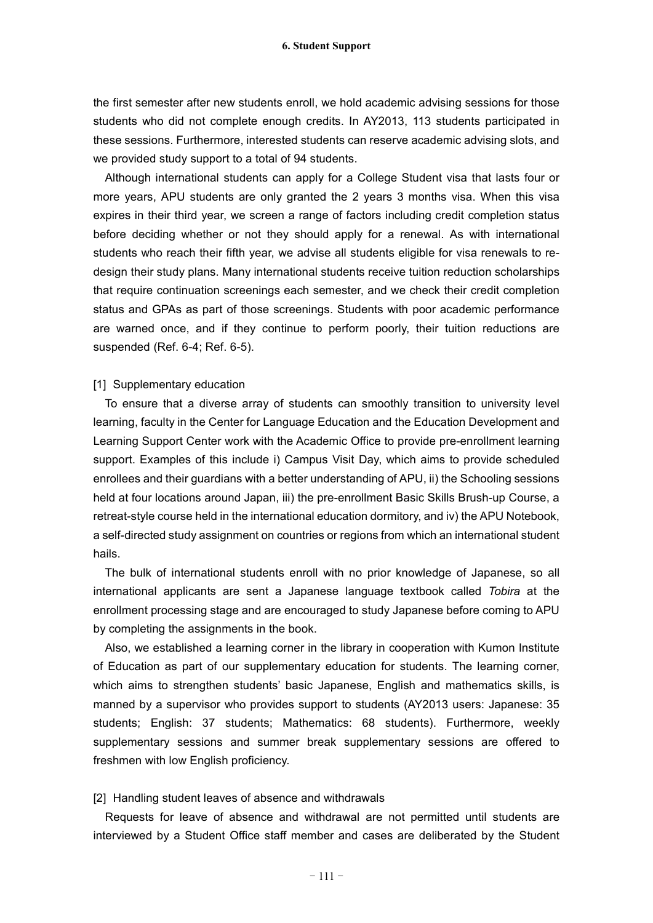the first semester after new students enroll, we hold academic advising sessions for those students who did not complete enough credits. In AY2013, 113 students participated in these sessions. Furthermore, interested students can reserve academic advising slots, and we provided study support to a total of 94 students.

Although international students can apply for a College Student visa that lasts four or more years, APU students are only granted the 2 years 3 months visa. When this visa expires in their third year, we screen a range of factors including credit completion status before deciding whether or not they should apply for a renewal. As with international students who reach their fifth year, we advise all students eligible for visa renewals to redesign their study plans. Many international students receive tuition reduction scholarships that require continuation screenings each semester, and we check their credit completion status and GPAs as part of those screenings. Students with poor academic performance are warned once, and if they continue to perform poorly, their tuition reductions are suspended (Ref. 6-4; Ref. 6-5).

#### [1] Supplementary education

To ensure that a diverse array of students can smoothly transition to university level learning, faculty in the Center for Language Education and the Education Development and Learning Support Center work with the Academic Office to provide pre-enrollment learning support. Examples of this include i) Campus Visit Day, which aims to provide scheduled enrollees and their guardians with a better understanding of APU, ii) the Schooling sessions held at four locations around Japan, iii) the pre-enrollment Basic Skills Brush-up Course, a retreat-style course held in the international education dormitory, and iv) the APU Notebook, a self-directed study assignment on countries or regions from which an international student hails.

The bulk of international students enroll with no prior knowledge of Japanese, so all international applicants are sent a Japanese language textbook called *Tobira* at the enrollment processing stage and are encouraged to study Japanese before coming to APU by completing the assignments in the book.

Also, we established a learning corner in the library in cooperation with Kumon Institute of Education as part of our supplementary education for students. The learning corner, which aims to strengthen students' basic Japanese, English and mathematics skills, is manned by a supervisor who provides support to students (AY2013 users: Japanese: 35 students; English: 37 students; Mathematics: 68 students). Furthermore, weekly supplementary sessions and summer break supplementary sessions are offered to freshmen with low English proficiency.

#### [2] Handling student leaves of absence and withdrawals

Requests for leave of absence and withdrawal are not permitted until students are interviewed by a Student Office staff member and cases are deliberated by the Student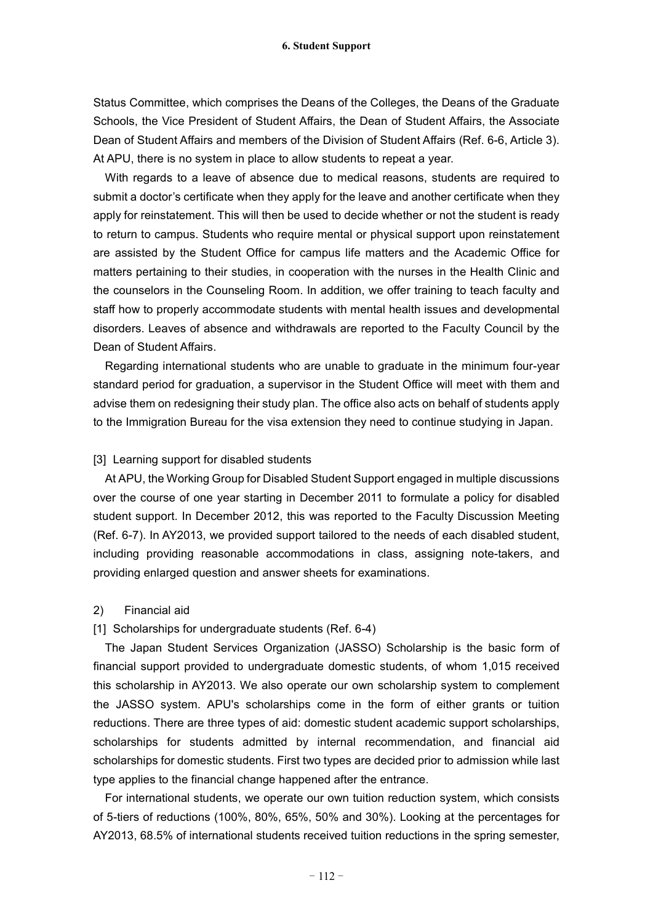Status Committee, which comprises the Deans of the Colleges, the Deans of the Graduate Schools, the Vice President of Student Affairs, the Dean of Student Affairs, the Associate Dean of Student Affairs and members of the Division of Student Affairs (Ref. 6-6, Article 3). At APU, there is no system in place to allow students to repeat a year.

With regards to a leave of absence due to medical reasons, students are required to submit a doctor's certificate when they apply for the leave and another certificate when they apply for reinstatement. This will then be used to decide whether or not the student is ready to return to campus. Students who require mental or physical support upon reinstatement are assisted by the Student Office for campus life matters and the Academic Office for matters pertaining to their studies, in cooperation with the nurses in the Health Clinic and the counselors in the Counseling Room. In addition, we offer training to teach faculty and staff how to properly accommodate students with mental health issues and developmental disorders. Leaves of absence and withdrawals are reported to the Faculty Council by the Dean of Student Affairs.

Regarding international students who are unable to graduate in the minimum four-year standard period for graduation, a supervisor in the Student Office will meet with them and advise them on redesigning their study plan. The office also acts on behalf of students apply to the Immigration Bureau for the visa extension they need to continue studying in Japan.

#### [3] Learning support for disabled students

At APU, the Working Group for Disabled Student Support engaged in multiple discussions over the course of one year starting in December 2011 to formulate a policy for disabled student support. In December 2012, this was reported to the Faculty Discussion Meeting (Ref. 6-7). In AY2013, we provided support tailored to the needs of each disabled student, including providing reasonable accommodations in class, assigning note-takers, and providing enlarged question and answer sheets for examinations.

#### 2) Financial aid

#### [1] Scholarships for undergraduate students (Ref. 6-4)

The Japan Student Services Organization (JASSO) Scholarship is the basic form of financial support provided to undergraduate domestic students, of whom 1,015 received this scholarship in AY2013. We also operate our own scholarship system to complement the JASSO system. APU's scholarships come in the form of either grants or tuition reductions. There are three types of aid: domestic student academic support scholarships, scholarships for students admitted by internal recommendation, and financial aid scholarships for domestic students. First two types are decided prior to admission while last type applies to the financial change happened after the entrance.

For international students, we operate our own tuition reduction system, which consists of 5-tiers of reductions (100%, 80%, 65%, 50% and 30%). Looking at the percentages for AY2013, 68.5% of international students received tuition reductions in the spring semester,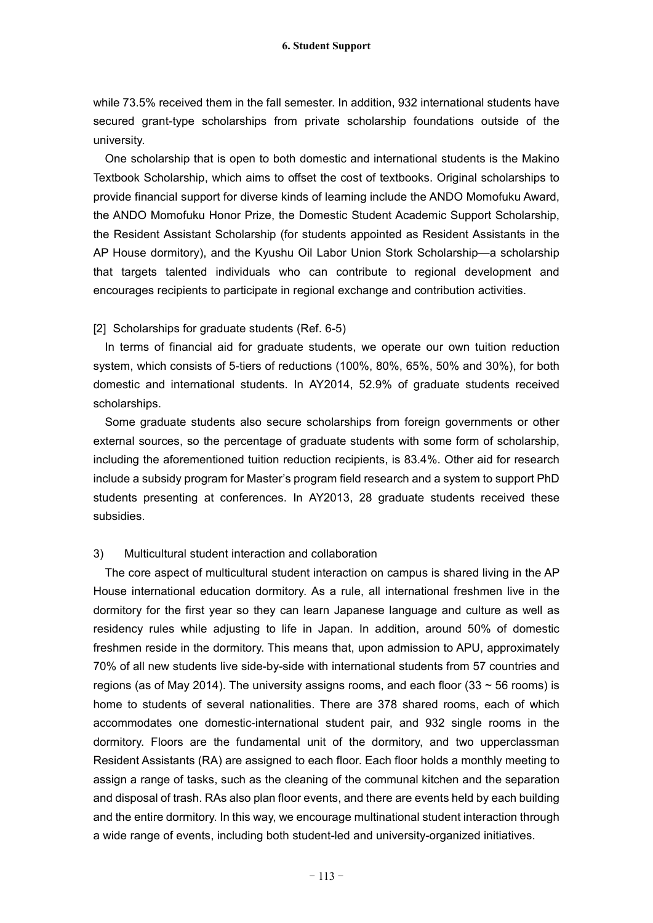while 73.5% received them in the fall semester. In addition, 932 international students have secured grant-type scholarships from private scholarship foundations outside of the university.

One scholarship that is open to both domestic and international students is the Makino Textbook Scholarship, which aims to offset the cost of textbooks. Original scholarships to provide financial support for diverse kinds of learning include the ANDO Momofuku Award, the ANDO Momofuku Honor Prize, the Domestic Student Academic Support Scholarship, the Resident Assistant Scholarship (for students appointed as Resident Assistants in the AP House dormitory), and the Kyushu Oil Labor Union Stork Scholarship—a scholarship that targets talented individuals who can contribute to regional development and encourages recipients to participate in regional exchange and contribution activities.

[2] Scholarships for graduate students (Ref. 6-5)

In terms of financial aid for graduate students, we operate our own tuition reduction system, which consists of 5-tiers of reductions (100%, 80%, 65%, 50% and 30%), for both domestic and international students. In AY2014, 52.9% of graduate students received scholarships.

Some graduate students also secure scholarships from foreign governments or other external sources, so the percentage of graduate students with some form of scholarship, including the aforementioned tuition reduction recipients, is 83.4%. Other aid for research include a subsidy program for Master's program field research and a system to support PhD students presenting at conferences. In AY2013, 28 graduate students received these subsidies.

#### 3) Multicultural student interaction and collaboration

The core aspect of multicultural student interaction on campus is shared living in the AP House international education dormitory. As a rule, all international freshmen live in the dormitory for the first year so they can learn Japanese language and culture as well as residency rules while adjusting to life in Japan. In addition, around 50% of domestic freshmen reside in the dormitory. This means that, upon admission to APU, approximately 70% of all new students live side-by-side with international students from 57 countries and regions (as of May 2014). The university assigns rooms, and each floor (33  $\sim$  56 rooms) is home to students of several nationalities. There are 378 shared rooms, each of which accommodates one domestic-international student pair, and 932 single rooms in the dormitory. Floors are the fundamental unit of the dormitory, and two upperclassman Resident Assistants (RA) are assigned to each floor. Each floor holds a monthly meeting to assign a range of tasks, such as the cleaning of the communal kitchen and the separation and disposal of trash. RAs also plan floor events, and there are events held by each building and the entire dormitory. In this way, we encourage multinational student interaction through a wide range of events, including both student-led and university-organized initiatives.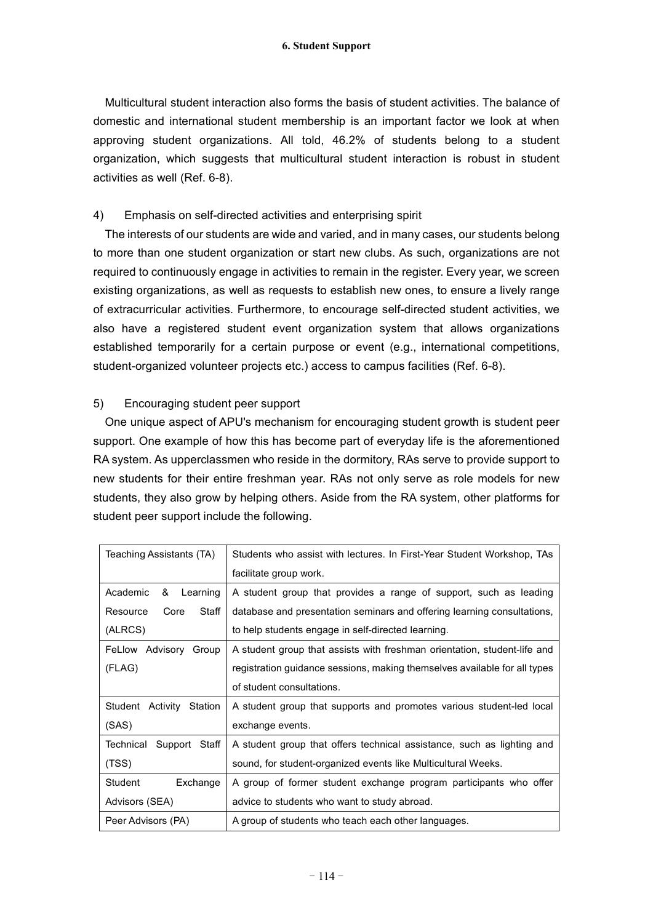Multicultural student interaction also forms the basis of student activities. The balance of domestic and international student membership is an important factor we look at when approving student organizations. All told, 46.2% of students belong to a student organization, which suggests that multicultural student interaction is robust in student activities as well (Ref. 6-8).

#### 4) Emphasis on self-directed activities and enterprising spirit

The interests of our students are wide and varied, and in many cases, our students belong to more than one student organization or start new clubs. As such, organizations are not required to continuously engage in activities to remain in the register. Every year, we screen existing organizations, as well as requests to establish new ones, to ensure a lively range of extracurricular activities. Furthermore, to encourage self-directed student activities, we also have a registered student event organization system that allows organizations established temporarily for a certain purpose or event (e.g., international competitions, student-organized volunteer projects etc.) access to campus facilities (Ref. 6-8).

#### 5) Encouraging student peer support

One unique aspect of APU's mechanism for encouraging student growth is student peer support. One example of how this has become part of everyday life is the aforementioned RA system. As upperclassmen who reside in the dormitory, RAs serve to provide support to new students for their entire freshman year. RAs not only serve as role models for new students, they also grow by helping others. Aside from the RA system, other platforms for student peer support include the following.

| Teaching Assistants (TA)      | Students who assist with lectures. In First-Year Student Workshop, TAs    |
|-------------------------------|---------------------------------------------------------------------------|
|                               | facilitate group work.                                                    |
| Academic<br>Learning<br>&     | A student group that provides a range of support, such as leading         |
| Staff<br>Resource<br>Core     | database and presentation seminars and offering learning consultations,   |
| (ALRCS)                       | to help students engage in self-directed learning.                        |
| FeLlow Advisory Group         | A student group that assists with freshman orientation, student-life and  |
| (FLAG)                        | registration guidance sessions, making themselves available for all types |
|                               | of student consultations.                                                 |
| Student Activity<br>Station   | A student group that supports and promotes various student-led local      |
| (SAS)                         | exchange events.                                                          |
| Technical<br>Support<br>Staff | A student group that offers technical assistance, such as lighting and    |
| (TSS)                         | sound, for student-organized events like Multicultural Weeks.             |
| Student<br>Exchange           | A group of former student exchange program participants who offer         |
| Advisors (SEA)                | advice to students who want to study abroad.                              |
| Peer Advisors (PA)            | A group of students who teach each other languages.                       |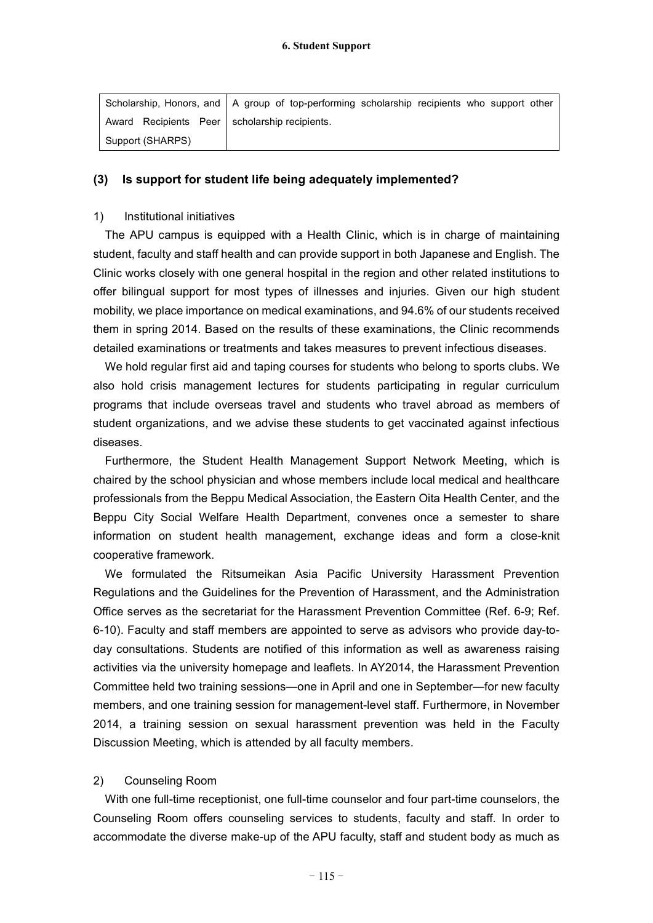|                                                 | Scholarship, Honors, and   A group of top-performing scholarship recipients who support other |
|-------------------------------------------------|-----------------------------------------------------------------------------------------------|
| Award Recipients Peer   scholarship recipients. |                                                                                               |
| Support (SHARPS)                                |                                                                                               |

#### **(3) Is support for student life being adequately implemented?**

#### 1) Institutional initiatives

The APU campus is equipped with a Health Clinic, which is in charge of maintaining student, faculty and staff health and can provide support in both Japanese and English. The Clinic works closely with one general hospital in the region and other related institutions to offer bilingual support for most types of illnesses and injuries. Given our high student mobility, we place importance on medical examinations, and 94.6% of our students received them in spring 2014. Based on the results of these examinations, the Clinic recommends detailed examinations or treatments and takes measures to prevent infectious diseases.

We hold regular first aid and taping courses for students who belong to sports clubs. We also hold crisis management lectures for students participating in regular curriculum programs that include overseas travel and students who travel abroad as members of student organizations, and we advise these students to get vaccinated against infectious diseases.

Furthermore, the Student Health Management Support Network Meeting, which is chaired by the school physician and whose members include local medical and healthcare professionals from the Beppu Medical Association, the Eastern Oita Health Center, and the Beppu City Social Welfare Health Department, convenes once a semester to share information on student health management, exchange ideas and form a close-knit cooperative framework.

We formulated the Ritsumeikan Asia Pacific University Harassment Prevention Regulations and the Guidelines for the Prevention of Harassment, and the Administration Office serves as the secretariat for the Harassment Prevention Committee (Ref. 6-9; Ref. 6-10). Faculty and staff members are appointed to serve as advisors who provide day-today consultations. Students are notified of this information as well as awareness raising activities via the university homepage and leaflets. In AY2014, the Harassment Prevention Committee held two training sessions—one in April and one in September—for new faculty members, and one training session for management-level staff. Furthermore, in November 2014, a training session on sexual harassment prevention was held in the Faculty Discussion Meeting, which is attended by all faculty members.

#### 2) Counseling Room

With one full-time receptionist, one full-time counselor and four part-time counselors, the Counseling Room offers counseling services to students, faculty and staff. In order to accommodate the diverse make-up of the APU faculty, staff and student body as much as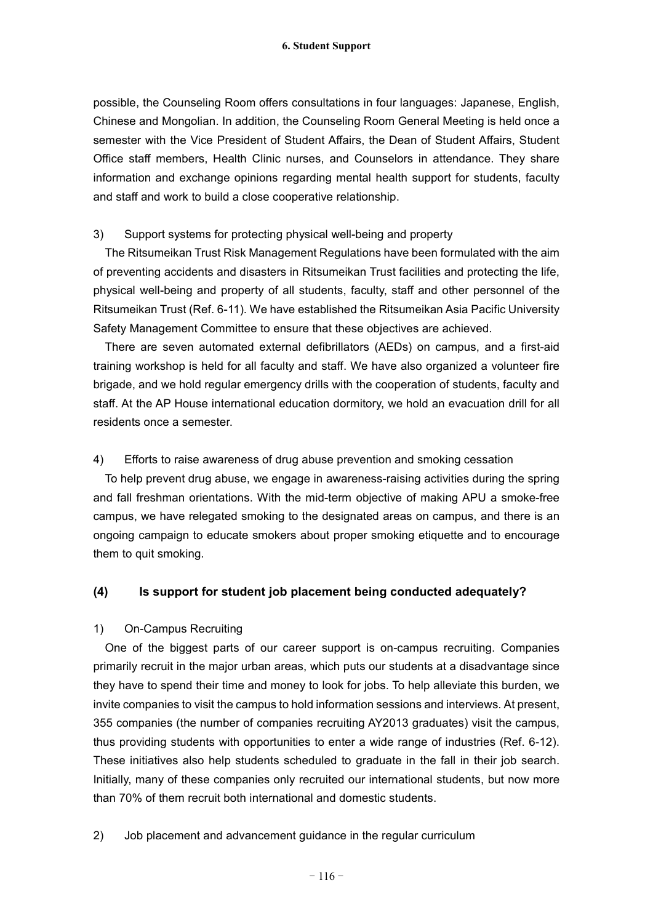possible, the Counseling Room offers consultations in four languages: Japanese, English, Chinese and Mongolian. In addition, the Counseling Room General Meeting is held once a semester with the Vice President of Student Affairs, the Dean of Student Affairs, Student Office staff members, Health Clinic nurses, and Counselors in attendance. They share information and exchange opinions regarding mental health support for students, faculty and staff and work to build a close cooperative relationship.

#### 3) Support systems for protecting physical well-being and property

The Ritsumeikan Trust Risk Management Regulations have been formulated with the aim of preventing accidents and disasters in Ritsumeikan Trust facilities and protecting the life, physical well-being and property of all students, faculty, staff and other personnel of the Ritsumeikan Trust (Ref. 6-11). We have established the Ritsumeikan Asia Pacific University Safety Management Committee to ensure that these objectives are achieved.

There are seven automated external defibrillators (AEDs) on campus, and a first-aid training workshop is held for all faculty and staff. We have also organized a volunteer fire brigade, and we hold regular emergency drills with the cooperation of students, faculty and staff. At the AP House international education dormitory, we hold an evacuation drill for all residents once a semester.

#### 4) Efforts to raise awareness of drug abuse prevention and smoking cessation

To help prevent drug abuse, we engage in awareness-raising activities during the spring and fall freshman orientations. With the mid-term objective of making APU a smoke-free campus, we have relegated smoking to the designated areas on campus, and there is an ongoing campaign to educate smokers about proper smoking etiquette and to encourage them to quit smoking.

## **(4) Is support for student job placement being conducted adequately?**

## 1) On-Campus Recruiting

One of the biggest parts of our career support is on-campus recruiting. Companies primarily recruit in the major urban areas, which puts our students at a disadvantage since they have to spend their time and money to look for jobs. To help alleviate this burden, we invite companies to visit the campus to hold information sessions and interviews. At present, 355 companies (the number of companies recruiting AY2013 graduates) visit the campus, thus providing students with opportunities to enter a wide range of industries (Ref. 6-12). These initiatives also help students scheduled to graduate in the fall in their job search. Initially, many of these companies only recruited our international students, but now more than 70% of them recruit both international and domestic students.

2) Job placement and advancement guidance in the regular curriculum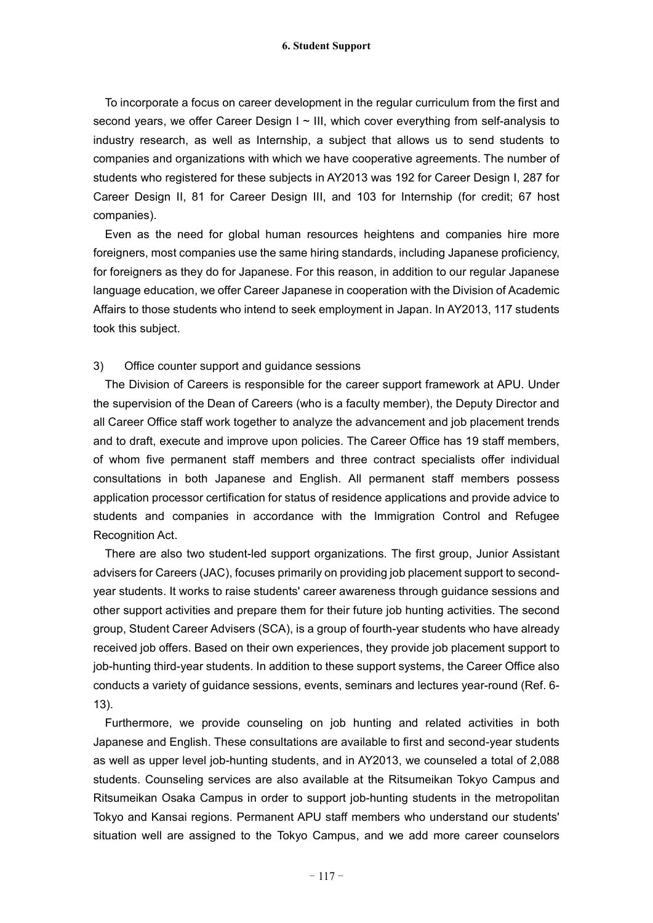To incorporate a focus on career development in the regular curriculum from the first and second years, we offer Career Design I ~ III, which cover everything from self-analysis to industry research, as well as Internship, a subject that allows us to send students to companies and organizations with which we have cooperative agreements. The number of students who registered for these subjects in AY2013 was 192 for Career Design I, 287 for Career Design II, 81 for Career Design III, and 103 for Internship (for credit; 67 host companies).

Even as the need for global human resources heightens and companies hire more foreigners, most companies use the same hiring standards, including Japanese proficiency, for foreigners as they do for Japanese. For this reason, in addition to our regular Japanese language education, we offer Career Japanese in cooperation with the Division of Academic Affairs to those students who intend to seek employment in Japan. In AY2013, 117 students took this subject.

#### 3) Office counter support and guidance sessions

The Division of Careers is responsible for the career support framework at APU. Under the supervision of the Dean of Careers (who is a faculty member), the Deputy Director and all Career Office staff work together to analyze the advancement and job placement trends and to draft, execute and improve upon policies. The Career Office has 19 staff members, of whom five permanent staff members and three contract specialists offer individual consultations in both Japanese and English. All permanent staff members possess application processor certification for status of residence applications and provide advice to students and companies in accordance with the Immigration Control and Refugee Recognition Act.

There are also two student-led support organizations. The first group, Junior Assistant advisers for Careers (JAC), focuses primarily on providing job placement support to secondyear students. It works to raise students' career awareness through guidance sessions and other support activities and prepare them for their future job hunting activities. The second group, Student Career Advisers (SCA), is a group of fourth-year students who have already received job offers. Based on their own experiences, they provide job placement support to job-hunting third-year students. In addition to these support systems, the Career Office also conducts a variety of guidance sessions, events, seminars and lectures year-round (Ref. 6- 13).

Furthermore, we provide counseling on job hunting and related activities in both Japanese and English. These consultations are available to first and second-year students as well as upper level job-hunting students, and in AY2013, we counseled a total of 2,088 students. Counseling services are also available at the Ritsumeikan Tokyo Campus and Ritsumeikan Osaka Campus in order to support job-hunting students in the metropolitan Tokyo and Kansai regions. Permanent APU staff members who understand our students' situation well are assigned to the Tokyo Campus, and we add more career counselors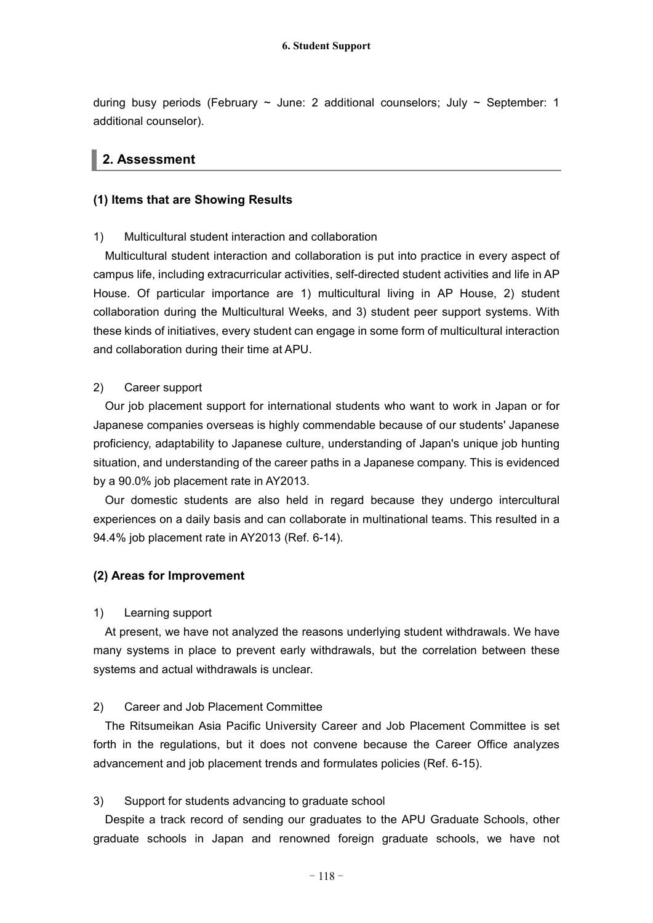during busy periods (February  $\sim$  June: 2 additional counselors; July  $\sim$  September: 1 additional counselor).

## **2. Assessment**

## **(1) Items that are Showing Results**

## 1) Multicultural student interaction and collaboration

Multicultural student interaction and collaboration is put into practice in every aspect of campus life, including extracurricular activities, self-directed student activities and life in AP House. Of particular importance are 1) multicultural living in AP House, 2) student collaboration during the Multicultural Weeks, and 3) student peer support systems. With these kinds of initiatives, every student can engage in some form of multicultural interaction and collaboration during their time at APU.

#### 2) Career support

Our job placement support for international students who want to work in Japan or for Japanese companies overseas is highly commendable because of our students' Japanese proficiency, adaptability to Japanese culture, understanding of Japan's unique job hunting situation, and understanding of the career paths in a Japanese company. This is evidenced by a 90.0% job placement rate in AY2013.

Our domestic students are also held in regard because they undergo intercultural experiences on a daily basis and can collaborate in multinational teams. This resulted in a 94.4% job placement rate in AY2013 (Ref. 6-14).

## **(2) Areas for Improvement**

## 1) Learning support

At present, we have not analyzed the reasons underlying student withdrawals. We have many systems in place to prevent early withdrawals, but the correlation between these systems and actual withdrawals is unclear.

## 2) Career and Job Placement Committee

The Ritsumeikan Asia Pacific University Career and Job Placement Committee is set forth in the regulations, but it does not convene because the Career Office analyzes advancement and job placement trends and formulates policies (Ref. 6-15).

## 3) Support for students advancing to graduate school

Despite a track record of sending our graduates to the APU Graduate Schools, other graduate schools in Japan and renowned foreign graduate schools, we have not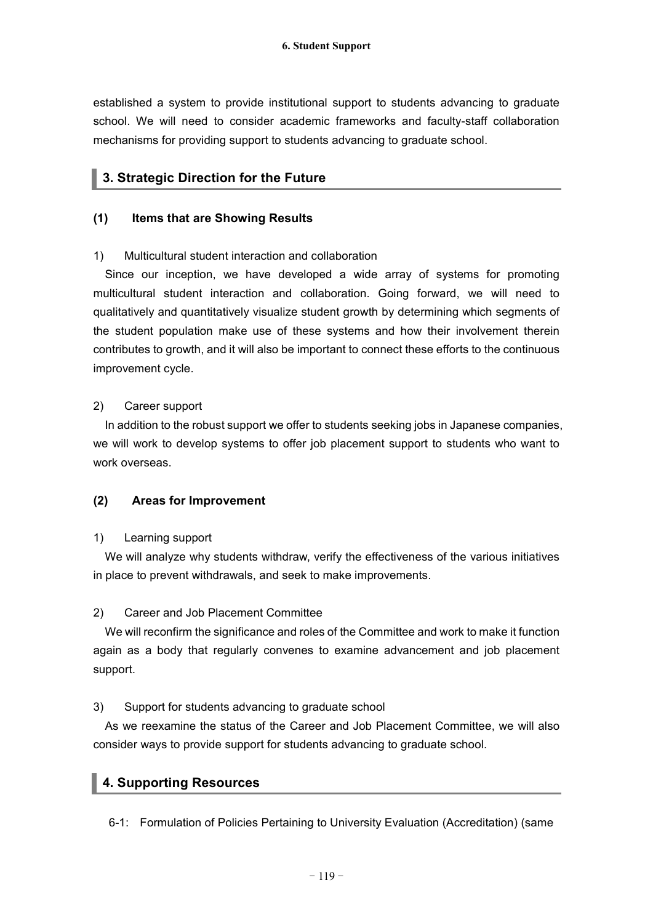established a system to provide institutional support to students advancing to graduate school. We will need to consider academic frameworks and faculty-staff collaboration mechanisms for providing support to students advancing to graduate school.

## **3. Strategic Direction for the Future**

## **(1) Items that are Showing Results**

## 1) Multicultural student interaction and collaboration

Since our inception, we have developed a wide array of systems for promoting multicultural student interaction and collaboration. Going forward, we will need to qualitatively and quantitatively visualize student growth by determining which segments of the student population make use of these systems and how their involvement therein contributes to growth, and it will also be important to connect these efforts to the continuous improvement cycle.

#### 2) Career support

In addition to the robust support we offer to students seeking jobs in Japanese companies, we will work to develop systems to offer job placement support to students who want to work overseas.

## **(2) Areas for Improvement**

## 1) Learning support

We will analyze why students withdraw, verify the effectiveness of the various initiatives in place to prevent withdrawals, and seek to make improvements.

## 2) Career and Job Placement Committee

We will reconfirm the significance and roles of the Committee and work to make it function again as a body that regularly convenes to examine advancement and job placement support.

## 3) Support for students advancing to graduate school

As we reexamine the status of the Career and Job Placement Committee, we will also consider ways to provide support for students advancing to graduate school.

## **4. Supporting Resources**

6-1: Formulation of Policies Pertaining to University Evaluation (Accreditation) (same